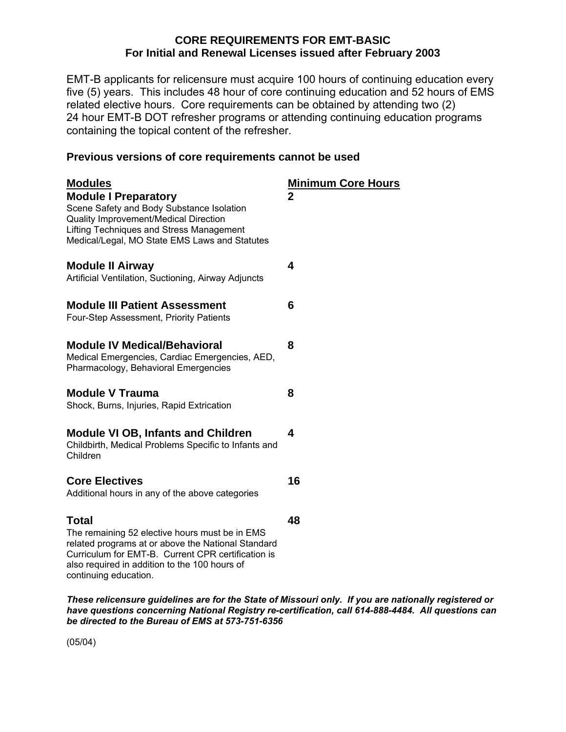## **CORE REQUIREMENTS FOR EMT-BASIC For Initial and Renewal Licenses issued after February 2003**

EMT-B applicants for relicensure must acquire 100 hours of continuing education every five (5) years. This includes 48 hour of core continuing education and 52 hours of EMS related elective hours. Core requirements can be obtained by attending two (2) 24 hour EMT-B DOT refresher programs or attending continuing education programs containing the topical content of the refresher.

## **Previous versions of core requirements cannot be used**

| <b>Modules</b><br><b>Module I Preparatory</b><br>Scene Safety and Body Substance Isolation<br>Quality Improvement/Medical Direction<br>Lifting Techniques and Stress Management<br>Medical/Legal, MO State EMS Laws and Statutes                     | <b>Minimum Core Hours</b><br>$\mathbf 2$ |
|------------------------------------------------------------------------------------------------------------------------------------------------------------------------------------------------------------------------------------------------------|------------------------------------------|
| <b>Module II Airway</b><br>Artificial Ventilation, Suctioning, Airway Adjuncts                                                                                                                                                                       | 4                                        |
| <b>Module III Patient Assessment</b><br>Four-Step Assessment, Priority Patients                                                                                                                                                                      | 6                                        |
| <b>Module IV Medical/Behavioral</b><br>Medical Emergencies, Cardiac Emergencies, AED,<br>Pharmacology, Behavioral Emergencies                                                                                                                        | 8                                        |
| <b>Module V Trauma</b><br>Shock, Burns, Injuries, Rapid Extrication                                                                                                                                                                                  | 8                                        |
| <b>Module VI OB, Infants and Children</b><br>Childbirth, Medical Problems Specific to Infants and<br>Children                                                                                                                                        | 4                                        |
| <b>Core Electives</b><br>Additional hours in any of the above categories                                                                                                                                                                             | 16                                       |
| <b>Total</b><br>The remaining 52 elective hours must be in EMS<br>related programs at or above the National Standard<br>Curriculum for EMT-B. Current CPR certification is<br>also required in addition to the 100 hours of<br>continuing education. | 48                                       |

*These relicensure guidelines are for the State of Missouri only. If you are nationally registered or have questions concerning National Registry re-certification, call 614-888-4484. All questions can be directed to the Bureau of EMS at 573-751-6356* 

(05/04)